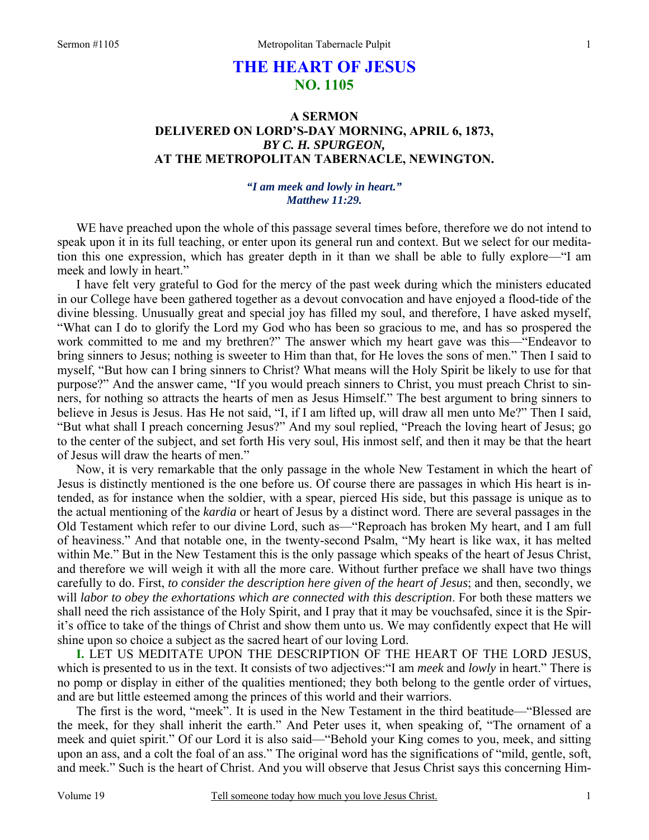# **THE HEART OF JESUS NO. 1105**

# **A SERMON DELIVERED ON LORD'S-DAY MORNING, APRIL 6, 1873,**  *BY C. H. SPURGEON,*  **AT THE METROPOLITAN TABERNACLE, NEWINGTON.**

### *"I am meek and lowly in heart." Matthew 11:29.*

WE have preached upon the whole of this passage several times before, therefore we do not intend to speak upon it in its full teaching, or enter upon its general run and context. But we select for our meditation this one expression, which has greater depth in it than we shall be able to fully explore—"I am meek and lowly in heart."

I have felt very grateful to God for the mercy of the past week during which the ministers educated in our College have been gathered together as a devout convocation and have enjoyed a flood-tide of the divine blessing. Unusually great and special joy has filled my soul, and therefore, I have asked myself, "What can I do to glorify the Lord my God who has been so gracious to me, and has so prospered the work committed to me and my brethren?" The answer which my heart gave was this—"Endeavor to bring sinners to Jesus; nothing is sweeter to Him than that, for He loves the sons of men." Then I said to myself, "But how can I bring sinners to Christ? What means will the Holy Spirit be likely to use for that purpose?" And the answer came, "If you would preach sinners to Christ, you must preach Christ to sinners, for nothing so attracts the hearts of men as Jesus Himself." The best argument to bring sinners to believe in Jesus is Jesus. Has He not said, "I, if I am lifted up, will draw all men unto Me?" Then I said, "But what shall I preach concerning Jesus?" And my soul replied, "Preach the loving heart of Jesus; go to the center of the subject, and set forth His very soul, His inmost self, and then it may be that the heart of Jesus will draw the hearts of men."

Now, it is very remarkable that the only passage in the whole New Testament in which the heart of Jesus is distinctly mentioned is the one before us. Of course there are passages in which His heart is intended, as for instance when the soldier, with a spear, pierced His side, but this passage is unique as to the actual mentioning of the *kardia* or heart of Jesus by a distinct word. There are several passages in the Old Testament which refer to our divine Lord, such as—"Reproach has broken My heart, and I am full of heaviness." And that notable one, in the twenty-second Psalm, "My heart is like wax, it has melted within Me." But in the New Testament this is the only passage which speaks of the heart of Jesus Christ, and therefore we will weigh it with all the more care. Without further preface we shall have two things carefully to do. First, *to consider the description here given of the heart of Jesus*; and then, secondly, we will *labor to obey the exhortations which are connected with this description*. For both these matters we shall need the rich assistance of the Holy Spirit, and I pray that it may be vouchsafed, since it is the Spirit's office to take of the things of Christ and show them unto us. We may confidently expect that He will shine upon so choice a subject as the sacred heart of our loving Lord.

**I.** LET US MEDITATE UPON THE DESCRIPTION OF THE HEART OF THE LORD JESUS, which is presented to us in the text. It consists of two adjectives:"I am *meek* and *lowly* in heart." There is no pomp or display in either of the qualities mentioned; they both belong to the gentle order of virtues, and are but little esteemed among the princes of this world and their warriors.

The first is the word, "meek". It is used in the New Testament in the third beatitude—"Blessed are the meek, for they shall inherit the earth." And Peter uses it, when speaking of, "The ornament of a meek and quiet spirit." Of our Lord it is also said—"Behold your King comes to you, meek, and sitting upon an ass, and a colt the foal of an ass." The original word has the significations of "mild, gentle, soft, and meek." Such is the heart of Christ. And you will observe that Jesus Christ says this concerning Him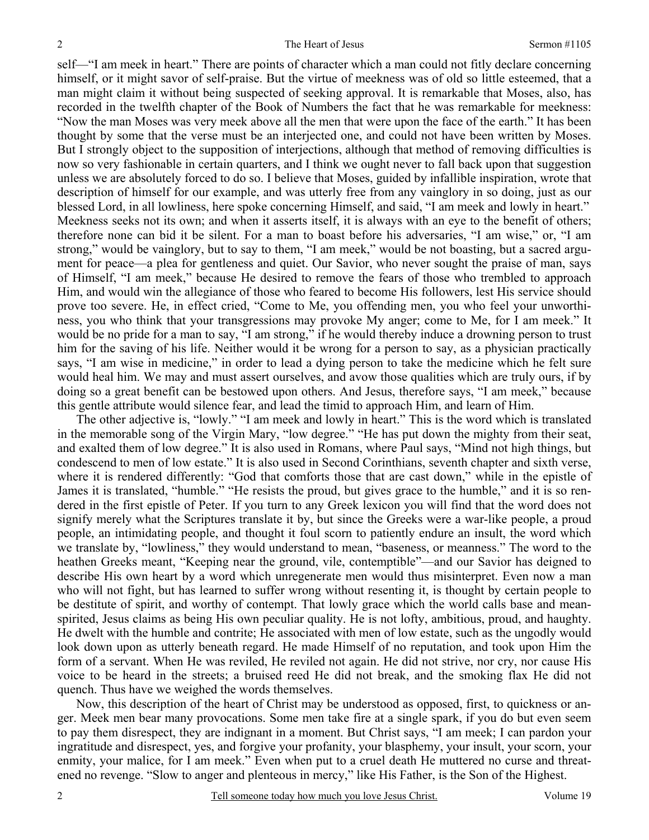self—"I am meek in heart." There are points of character which a man could not fitly declare concerning himself, or it might savor of self-praise. But the virtue of meekness was of old so little esteemed, that a man might claim it without being suspected of seeking approval. It is remarkable that Moses, also, has recorded in the twelfth chapter of the Book of Numbers the fact that he was remarkable for meekness: "Now the man Moses was very meek above all the men that were upon the face of the earth." It has been thought by some that the verse must be an interjected one, and could not have been written by Moses. But I strongly object to the supposition of interjections, although that method of removing difficulties is now so very fashionable in certain quarters, and I think we ought never to fall back upon that suggestion unless we are absolutely forced to do so. I believe that Moses, guided by infallible inspiration, wrote that description of himself for our example, and was utterly free from any vainglory in so doing, just as our blessed Lord, in all lowliness, here spoke concerning Himself, and said, "I am meek and lowly in heart." Meekness seeks not its own; and when it asserts itself, it is always with an eye to the benefit of others; therefore none can bid it be silent. For a man to boast before his adversaries, "I am wise," or, "I am strong," would be vainglory, but to say to them, "I am meek," would be not boasting, but a sacred argument for peace—a plea for gentleness and quiet. Our Savior, who never sought the praise of man, says of Himself, "I am meek," because He desired to remove the fears of those who trembled to approach Him, and would win the allegiance of those who feared to become His followers, lest His service should prove too severe. He, in effect cried, "Come to Me, you offending men, you who feel your unworthiness, you who think that your transgressions may provoke My anger; come to Me, for I am meek." It would be no pride for a man to say, "I am strong," if he would thereby induce a drowning person to trust him for the saving of his life. Neither would it be wrong for a person to say, as a physician practically says, "I am wise in medicine," in order to lead a dying person to take the medicine which he felt sure would heal him. We may and must assert ourselves, and avow those qualities which are truly ours, if by doing so a great benefit can be bestowed upon others. And Jesus, therefore says, "I am meek," because this gentle attribute would silence fear, and lead the timid to approach Him, and learn of Him.

The other adjective is, "lowly." "I am meek and lowly in heart." This is the word which is translated in the memorable song of the Virgin Mary, "low degree." "He has put down the mighty from their seat, and exalted them of low degree." It is also used in Romans, where Paul says, "Mind not high things, but condescend to men of low estate." It is also used in Second Corinthians, seventh chapter and sixth verse, where it is rendered differently: "God that comforts those that are cast down," while in the epistle of James it is translated, "humble." "He resists the proud, but gives grace to the humble," and it is so rendered in the first epistle of Peter. If you turn to any Greek lexicon you will find that the word does not signify merely what the Scriptures translate it by, but since the Greeks were a war-like people, a proud people, an intimidating people, and thought it foul scorn to patiently endure an insult, the word which we translate by, "lowliness," they would understand to mean, "baseness, or meanness." The word to the heathen Greeks meant, "Keeping near the ground, vile, contemptible"—and our Savior has deigned to describe His own heart by a word which unregenerate men would thus misinterpret. Even now a man who will not fight, but has learned to suffer wrong without resenting it, is thought by certain people to be destitute of spirit, and worthy of contempt. That lowly grace which the world calls base and meanspirited, Jesus claims as being His own peculiar quality. He is not lofty, ambitious, proud, and haughty. He dwelt with the humble and contrite; He associated with men of low estate, such as the ungodly would look down upon as utterly beneath regard. He made Himself of no reputation, and took upon Him the form of a servant. When He was reviled, He reviled not again. He did not strive, nor cry, nor cause His voice to be heard in the streets; a bruised reed He did not break, and the smoking flax He did not quench. Thus have we weighed the words themselves.

Now, this description of the heart of Christ may be understood as opposed, first, to quickness or anger. Meek men bear many provocations. Some men take fire at a single spark, if you do but even seem to pay them disrespect, they are indignant in a moment. But Christ says, "I am meek; I can pardon your ingratitude and disrespect, yes, and forgive your profanity, your blasphemy, your insult, your scorn, your enmity, your malice, for I am meek." Even when put to a cruel death He muttered no curse and threatened no revenge. "Slow to anger and plenteous in mercy," like His Father, is the Son of the Highest.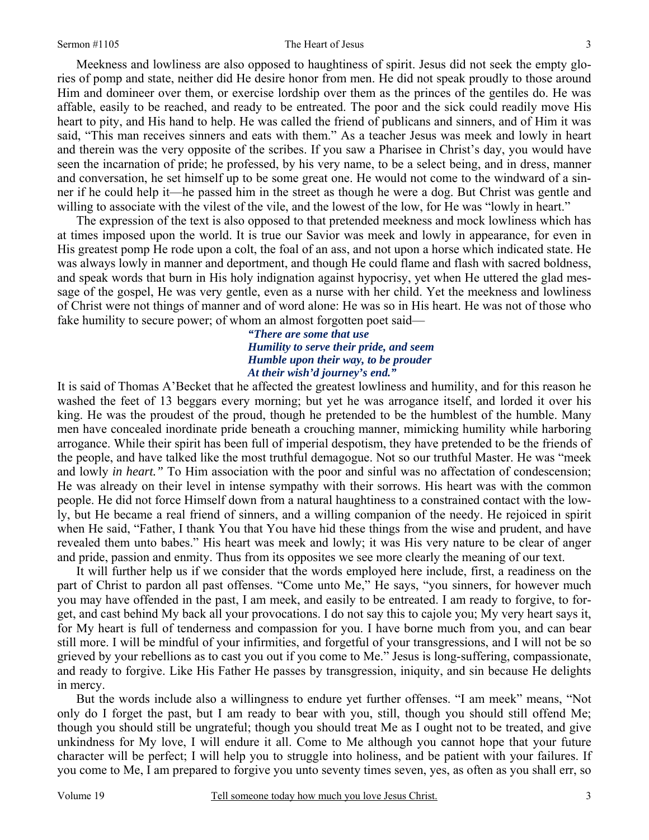#### Sermon #1105 The Heart of Jesus

Meekness and lowliness are also opposed to haughtiness of spirit. Jesus did not seek the empty glories of pomp and state, neither did He desire honor from men. He did not speak proudly to those around Him and domineer over them, or exercise lordship over them as the princes of the gentiles do. He was affable, easily to be reached, and ready to be entreated. The poor and the sick could readily move His heart to pity, and His hand to help. He was called the friend of publicans and sinners, and of Him it was said, "This man receives sinners and eats with them." As a teacher Jesus was meek and lowly in heart and therein was the very opposite of the scribes. If you saw a Pharisee in Christ's day, you would have seen the incarnation of pride; he professed, by his very name, to be a select being, and in dress, manner and conversation, he set himself up to be some great one. He would not come to the windward of a sinner if he could help it—he passed him in the street as though he were a dog. But Christ was gentle and willing to associate with the vilest of the vile, and the lowest of the low, for He was "lowly in heart."

The expression of the text is also opposed to that pretended meekness and mock lowliness which has at times imposed upon the world. It is true our Savior was meek and lowly in appearance, for even in His greatest pomp He rode upon a colt, the foal of an ass, and not upon a horse which indicated state. He was always lowly in manner and deportment, and though He could flame and flash with sacred boldness, and speak words that burn in His holy indignation against hypocrisy, yet when He uttered the glad message of the gospel, He was very gentle, even as a nurse with her child. Yet the meekness and lowliness of Christ were not things of manner and of word alone: He was so in His heart. He was not of those who fake humility to secure power; of whom an almost forgotten poet said—

### *"There are some that use Humility to serve their pride, and seem Humble upon their way, to be prouder At their wish'd journey's end."*

It is said of Thomas A'Becket that he affected the greatest lowliness and humility, and for this reason he washed the feet of 13 beggars every morning; but yet he was arrogance itself, and lorded it over his king. He was the proudest of the proud, though he pretended to be the humblest of the humble. Many men have concealed inordinate pride beneath a crouching manner, mimicking humility while harboring arrogance. While their spirit has been full of imperial despotism, they have pretended to be the friends of the people, and have talked like the most truthful demagogue. Not so our truthful Master. He was "meek and lowly *in heart."* To Him association with the poor and sinful was no affectation of condescension; He was already on their level in intense sympathy with their sorrows. His heart was with the common people. He did not force Himself down from a natural haughtiness to a constrained contact with the lowly, but He became a real friend of sinners, and a willing companion of the needy. He rejoiced in spirit when He said, "Father, I thank You that You have hid these things from the wise and prudent, and have revealed them unto babes." His heart was meek and lowly; it was His very nature to be clear of anger and pride, passion and enmity. Thus from its opposites we see more clearly the meaning of our text.

 It will further help us if we consider that the words employed here include, first, a readiness on the part of Christ to pardon all past offenses. "Come unto Me," He says, "you sinners, for however much you may have offended in the past, I am meek, and easily to be entreated. I am ready to forgive, to forget, and cast behind My back all your provocations. I do not say this to cajole you; My very heart says it, for My heart is full of tenderness and compassion for you. I have borne much from you, and can bear still more. I will be mindful of your infirmities, and forgetful of your transgressions, and I will not be so grieved by your rebellions as to cast you out if you come to Me." Jesus is long-suffering, compassionate, and ready to forgive. Like His Father He passes by transgression, iniquity, and sin because He delights in mercy.

 But the words include also a willingness to endure yet further offenses. "I am meek" means, "Not only do I forget the past, but I am ready to bear with you, still, though you should still offend Me; though you should still be ungrateful; though you should treat Me as I ought not to be treated, and give unkindness for My love, I will endure it all. Come to Me although you cannot hope that your future character will be perfect; I will help you to struggle into holiness, and be patient with your failures. If you come to Me, I am prepared to forgive you unto seventy times seven, yes, as often as you shall err, so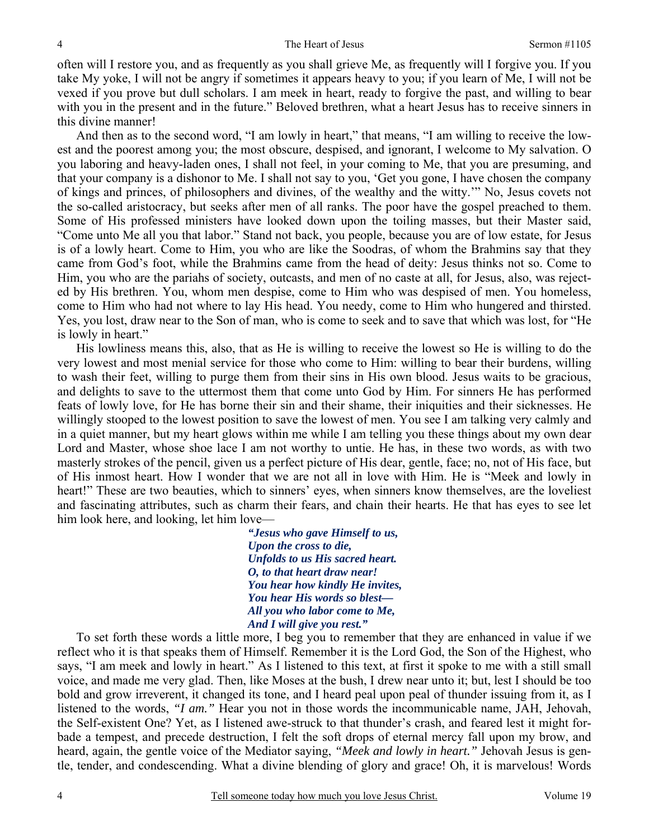often will I restore you, and as frequently as you shall grieve Me, as frequently will I forgive you. If you take My yoke, I will not be angry if sometimes it appears heavy to you; if you learn of Me, I will not be vexed if you prove but dull scholars. I am meek in heart, ready to forgive the past, and willing to bear with you in the present and in the future." Beloved brethren, what a heart Jesus has to receive sinners in this divine manner!

And then as to the second word, "I am lowly in heart," that means, "I am willing to receive the lowest and the poorest among you; the most obscure, despised, and ignorant, I welcome to My salvation. O you laboring and heavy-laden ones, I shall not feel, in your coming to Me, that you are presuming, and that your company is a dishonor to Me. I shall not say to you, 'Get you gone, I have chosen the company of kings and princes, of philosophers and divines, of the wealthy and the witty.'" No, Jesus covets not the so-called aristocracy, but seeks after men of all ranks. The poor have the gospel preached to them. Some of His professed ministers have looked down upon the toiling masses, but their Master said, "Come unto Me all you that labor." Stand not back, you people, because you are of low estate, for Jesus is of a lowly heart. Come to Him, you who are like the Soodras, of whom the Brahmins say that they came from God's foot, while the Brahmins came from the head of deity: Jesus thinks not so. Come to Him, you who are the pariahs of society, outcasts, and men of no caste at all, for Jesus, also, was rejected by His brethren. You, whom men despise, come to Him who was despised of men. You homeless, come to Him who had not where to lay His head. You needy, come to Him who hungered and thirsted. Yes, you lost, draw near to the Son of man, who is come to seek and to save that which was lost, for "He is lowly in heart."

His lowliness means this, also, that as He is willing to receive the lowest so He is willing to do the very lowest and most menial service for those who come to Him: willing to bear their burdens, willing to wash their feet, willing to purge them from their sins in His own blood. Jesus waits to be gracious, and delights to save to the uttermost them that come unto God by Him. For sinners He has performed feats of lowly love, for He has borne their sin and their shame, their iniquities and their sicknesses. He willingly stooped to the lowest position to save the lowest of men. You see I am talking very calmly and in a quiet manner, but my heart glows within me while I am telling you these things about my own dear Lord and Master, whose shoe lace I am not worthy to untie. He has, in these two words, as with two masterly strokes of the pencil, given us a perfect picture of His dear, gentle, face; no, not of His face, but of His inmost heart. How I wonder that we are not all in love with Him. He is "Meek and lowly in heart!" These are two beauties, which to sinners' eyes, when sinners know themselves, are the loveliest and fascinating attributes, such as charm their fears, and chain their hearts. He that has eyes to see let him look here, and looking, let him love—

> *"Jesus who gave Himself to us, Upon the cross to die, Unfolds to us His sacred heart. O, to that heart draw near! You hear how kindly He invites, You hear His words so blest— All you who labor come to Me, And I will give you rest."*

To set forth these words a little more, I beg you to remember that they are enhanced in value if we reflect who it is that speaks them of Himself. Remember it is the Lord God, the Son of the Highest, who says, "I am meek and lowly in heart." As I listened to this text, at first it spoke to me with a still small voice, and made me very glad. Then, like Moses at the bush, I drew near unto it; but, lest I should be too bold and grow irreverent, it changed its tone, and I heard peal upon peal of thunder issuing from it, as I listened to the words, *"I am."* Hear you not in those words the incommunicable name, JAH, Jehovah, the Self-existent One? Yet, as I listened awe-struck to that thunder's crash, and feared lest it might forbade a tempest, and precede destruction, I felt the soft drops of eternal mercy fall upon my brow, and heard, again, the gentle voice of the Mediator saying, *"Meek and lowly in heart."* Jehovah Jesus is gentle, tender, and condescending. What a divine blending of glory and grace! Oh, it is marvelous! Words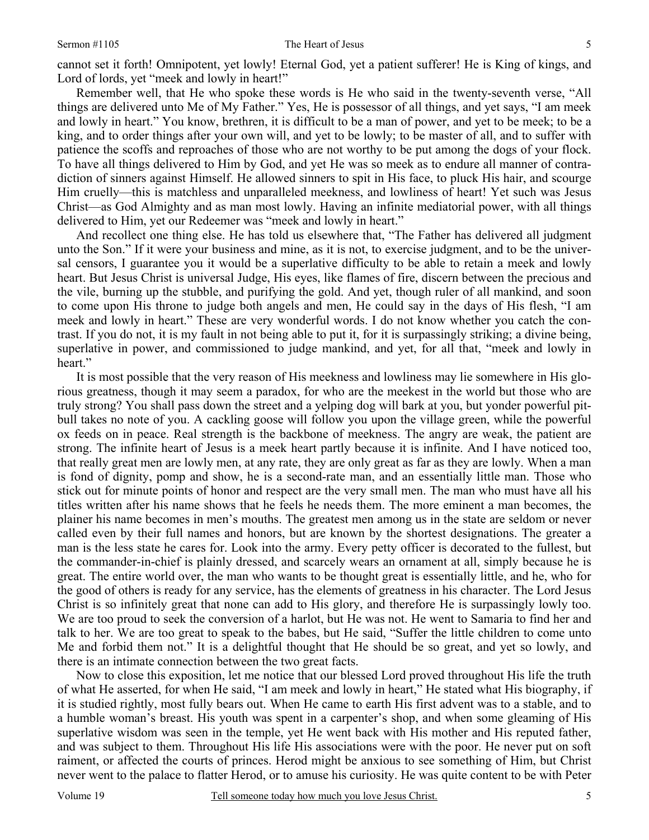#### Sermon #1105 The Heart of Jesus

cannot set it forth! Omnipotent, yet lowly! Eternal God, yet a patient sufferer! He is King of kings, and Lord of lords, yet "meek and lowly in heart!"

Remember well, that He who spoke these words is He who said in the twenty-seventh verse, "All things are delivered unto Me of My Father." Yes, He is possessor of all things, and yet says, "I am meek and lowly in heart." You know, brethren, it is difficult to be a man of power, and yet to be meek; to be a king, and to order things after your own will, and yet to be lowly; to be master of all, and to suffer with patience the scoffs and reproaches of those who are not worthy to be put among the dogs of your flock. To have all things delivered to Him by God, and yet He was so meek as to endure all manner of contradiction of sinners against Himself. He allowed sinners to spit in His face, to pluck His hair, and scourge Him cruelly—this is matchless and unparalleled meekness, and lowliness of heart! Yet such was Jesus Christ—as God Almighty and as man most lowly. Having an infinite mediatorial power, with all things delivered to Him, yet our Redeemer was "meek and lowly in heart."

And recollect one thing else. He has told us elsewhere that, "The Father has delivered all judgment unto the Son." If it were your business and mine, as it is not, to exercise judgment, and to be the universal censors, I guarantee you it would be a superlative difficulty to be able to retain a meek and lowly heart. But Jesus Christ is universal Judge, His eyes, like flames of fire, discern between the precious and the vile, burning up the stubble, and purifying the gold. And yet, though ruler of all mankind, and soon to come upon His throne to judge both angels and men, He could say in the days of His flesh, "I am meek and lowly in heart." These are very wonderful words. I do not know whether you catch the contrast. If you do not, it is my fault in not being able to put it, for it is surpassingly striking; a divine being, superlative in power, and commissioned to judge mankind, and yet, for all that, "meek and lowly in heart."

It is most possible that the very reason of His meekness and lowliness may lie somewhere in His glorious greatness, though it may seem a paradox, for who are the meekest in the world but those who are truly strong? You shall pass down the street and a yelping dog will bark at you, but yonder powerful pitbull takes no note of you. A cackling goose will follow you upon the village green, while the powerful ox feeds on in peace. Real strength is the backbone of meekness. The angry are weak, the patient are strong. The infinite heart of Jesus is a meek heart partly because it is infinite. And I have noticed too, that really great men are lowly men, at any rate, they are only great as far as they are lowly. When a man is fond of dignity, pomp and show, he is a second-rate man, and an essentially little man. Those who stick out for minute points of honor and respect are the very small men. The man who must have all his titles written after his name shows that he feels he needs them. The more eminent a man becomes, the plainer his name becomes in men's mouths. The greatest men among us in the state are seldom or never called even by their full names and honors, but are known by the shortest designations. The greater a man is the less state he cares for. Look into the army. Every petty officer is decorated to the fullest, but the commander-in-chief is plainly dressed, and scarcely wears an ornament at all, simply because he is great. The entire world over, the man who wants to be thought great is essentially little, and he, who for the good of others is ready for any service, has the elements of greatness in his character. The Lord Jesus Christ is so infinitely great that none can add to His glory, and therefore He is surpassingly lowly too. We are too proud to seek the conversion of a harlot, but He was not. He went to Samaria to find her and talk to her. We are too great to speak to the babes, but He said, "Suffer the little children to come unto Me and forbid them not." It is a delightful thought that He should be so great, and yet so lowly, and there is an intimate connection between the two great facts.

Now to close this exposition, let me notice that our blessed Lord proved throughout His life the truth of what He asserted, for when He said, "I am meek and lowly in heart," He stated what His biography, if it is studied rightly, most fully bears out. When He came to earth His first advent was to a stable, and to a humble woman's breast. His youth was spent in a carpenter's shop, and when some gleaming of His superlative wisdom was seen in the temple, yet He went back with His mother and His reputed father, and was subject to them. Throughout His life His associations were with the poor. He never put on soft raiment, or affected the courts of princes. Herod might be anxious to see something of Him, but Christ never went to the palace to flatter Herod, or to amuse his curiosity. He was quite content to be with Peter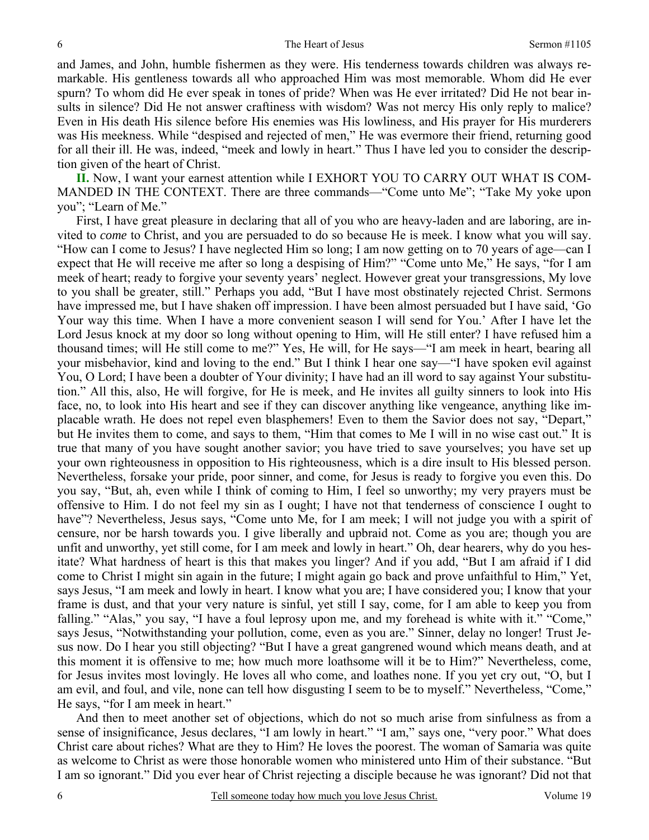and James, and John, humble fishermen as they were. His tenderness towards children was always remarkable. His gentleness towards all who approached Him was most memorable. Whom did He ever spurn? To whom did He ever speak in tones of pride? When was He ever irritated? Did He not bear insults in silence? Did He not answer craftiness with wisdom? Was not mercy His only reply to malice? Even in His death His silence before His enemies was His lowliness, and His prayer for His murderers was His meekness. While "despised and rejected of men," He was evermore their friend, returning good for all their ill. He was, indeed, "meek and lowly in heart." Thus I have led you to consider the description given of the heart of Christ.

**II.** Now, I want your earnest attention while I EXHORT YOU TO CARRY OUT WHAT IS COM-MANDED IN THE CONTEXT. There are three commands—"Come unto Me"; "Take My yoke upon you"; "Learn of Me."

First, I have great pleasure in declaring that all of you who are heavy-laden and are laboring, are invited to *come* to Christ, and you are persuaded to do so because He is meek. I know what you will say. "How can I come to Jesus? I have neglected Him so long; I am now getting on to 70 years of age—can I expect that He will receive me after so long a despising of Him?" "Come unto Me," He says, "for I am meek of heart; ready to forgive your seventy years' neglect. However great your transgressions, My love to you shall be greater, still." Perhaps you add, "But I have most obstinately rejected Christ. Sermons have impressed me, but I have shaken off impression. I have been almost persuaded but I have said, 'Go Your way this time. When I have a more convenient season I will send for You.' After I have let the Lord Jesus knock at my door so long without opening to Him, will He still enter? I have refused him a thousand times; will He still come to me?" Yes, He will, for He says—"I am meek in heart, bearing all your misbehavior, kind and loving to the end." But I think I hear one say—"I have spoken evil against You, O Lord; I have been a doubter of Your divinity; I have had an ill word to say against Your substitution." All this, also, He will forgive, for He is meek, and He invites all guilty sinners to look into His face, no, to look into His heart and see if they can discover anything like vengeance, anything like implacable wrath. He does not repel even blasphemers! Even to them the Savior does not say, "Depart," but He invites them to come, and says to them, "Him that comes to Me I will in no wise cast out." It is true that many of you have sought another savior; you have tried to save yourselves; you have set up your own righteousness in opposition to His righteousness, which is a dire insult to His blessed person. Nevertheless, forsake your pride, poor sinner, and come, for Jesus is ready to forgive you even this. Do you say, "But, ah, even while I think of coming to Him, I feel so unworthy; my very prayers must be offensive to Him. I do not feel my sin as I ought; I have not that tenderness of conscience I ought to have"? Nevertheless, Jesus says, "Come unto Me, for I am meek; I will not judge you with a spirit of censure, nor be harsh towards you. I give liberally and upbraid not. Come as you are; though you are unfit and unworthy, yet still come, for I am meek and lowly in heart." Oh, dear hearers, why do you hesitate? What hardness of heart is this that makes you linger? And if you add, "But I am afraid if I did come to Christ I might sin again in the future; I might again go back and prove unfaithful to Him," Yet, says Jesus, "I am meek and lowly in heart. I know what you are; I have considered you; I know that your frame is dust, and that your very nature is sinful, yet still I say, come, for I am able to keep you from falling." "Alas," you say, "I have a foul leprosy upon me, and my forehead is white with it." "Come," says Jesus, "Notwithstanding your pollution, come, even as you are." Sinner, delay no longer! Trust Jesus now. Do I hear you still objecting? "But I have a great gangrened wound which means death, and at this moment it is offensive to me; how much more loathsome will it be to Him?" Nevertheless, come, for Jesus invites most lovingly. He loves all who come, and loathes none. If you yet cry out, "O, but I am evil, and foul, and vile, none can tell how disgusting I seem to be to myself." Nevertheless, "Come," He says, "for I am meek in heart."

And then to meet another set of objections, which do not so much arise from sinfulness as from a sense of insignificance, Jesus declares, "I am lowly in heart." "I am," says one, "very poor." What does Christ care about riches? What are they to Him? He loves the poorest. The woman of Samaria was quite as welcome to Christ as were those honorable women who ministered unto Him of their substance. "But I am so ignorant." Did you ever hear of Christ rejecting a disciple because he was ignorant? Did not that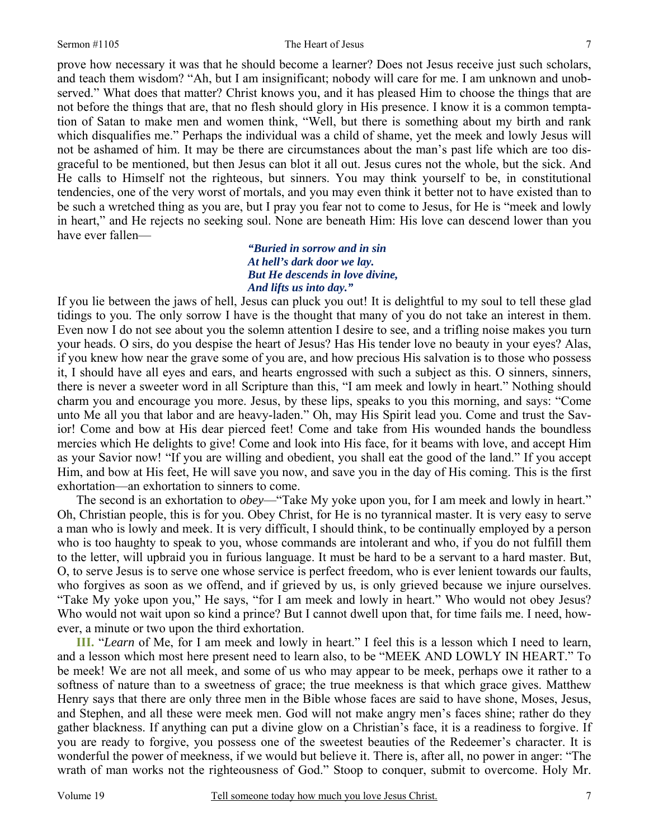#### Sermon #1105 The Heart of Jesus

prove how necessary it was that he should become a learner? Does not Jesus receive just such scholars, and teach them wisdom? "Ah, but I am insignificant; nobody will care for me. I am unknown and unobserved." What does that matter? Christ knows you, and it has pleased Him to choose the things that are not before the things that are, that no flesh should glory in His presence. I know it is a common temptation of Satan to make men and women think, "Well, but there is something about my birth and rank which disqualifies me." Perhaps the individual was a child of shame, yet the meek and lowly Jesus will not be ashamed of him. It may be there are circumstances about the man's past life which are too disgraceful to be mentioned, but then Jesus can blot it all out. Jesus cures not the whole, but the sick. And He calls to Himself not the righteous, but sinners. You may think yourself to be, in constitutional tendencies, one of the very worst of mortals, and you may even think it better not to have existed than to be such a wretched thing as you are, but I pray you fear not to come to Jesus, for He is "meek and lowly in heart," and He rejects no seeking soul. None are beneath Him: His love can descend lower than you have ever fallen—

> *"Buried in sorrow and in sin At hell's dark door we lay. But He descends in love divine, And lifts us into day."*

If you lie between the jaws of hell, Jesus can pluck you out! It is delightful to my soul to tell these glad tidings to you. The only sorrow I have is the thought that many of you do not take an interest in them. Even now I do not see about you the solemn attention I desire to see, and a trifling noise makes you turn your heads. O sirs, do you despise the heart of Jesus? Has His tender love no beauty in your eyes? Alas, if you knew how near the grave some of you are, and how precious His salvation is to those who possess it, I should have all eyes and ears, and hearts engrossed with such a subject as this. O sinners, sinners, there is never a sweeter word in all Scripture than this, "I am meek and lowly in heart." Nothing should charm you and encourage you more. Jesus, by these lips, speaks to you this morning, and says: "Come unto Me all you that labor and are heavy-laden." Oh, may His Spirit lead you. Come and trust the Savior! Come and bow at His dear pierced feet! Come and take from His wounded hands the boundless mercies which He delights to give! Come and look into His face, for it beams with love, and accept Him as your Savior now! "If you are willing and obedient, you shall eat the good of the land." If you accept Him, and bow at His feet, He will save you now, and save you in the day of His coming. This is the first exhortation—an exhortation to sinners to come.

The second is an exhortation to *obey*—"Take My yoke upon you, for I am meek and lowly in heart." Oh, Christian people, this is for you. Obey Christ, for He is no tyrannical master. It is very easy to serve a man who is lowly and meek. It is very difficult, I should think, to be continually employed by a person who is too haughty to speak to you, whose commands are intolerant and who, if you do not fulfill them to the letter, will upbraid you in furious language. It must be hard to be a servant to a hard master. But, O, to serve Jesus is to serve one whose service is perfect freedom, who is ever lenient towards our faults, who forgives as soon as we offend, and if grieved by us, is only grieved because we injure ourselves. "Take My yoke upon you," He says, "for I am meek and lowly in heart." Who would not obey Jesus? Who would not wait upon so kind a prince? But I cannot dwell upon that, for time fails me. I need, however, a minute or two upon the third exhortation.

**III.** "*Learn* of Me, for I am meek and lowly in heart." I feel this is a lesson which I need to learn, and a lesson which most here present need to learn also, to be "MEEK AND LOWLY IN HEART." To be meek! We are not all meek, and some of us who may appear to be meek, perhaps owe it rather to a softness of nature than to a sweetness of grace; the true meekness is that which grace gives. Matthew Henry says that there are only three men in the Bible whose faces are said to have shone, Moses, Jesus, and Stephen, and all these were meek men. God will not make angry men's faces shine; rather do they gather blackness. If anything can put a divine glow on a Christian's face, it is a readiness to forgive. If you are ready to forgive, you possess one of the sweetest beauties of the Redeemer's character. It is wonderful the power of meekness, if we would but believe it. There is, after all, no power in anger: "The wrath of man works not the righteousness of God." Stoop to conquer, submit to overcome. Holy Mr.